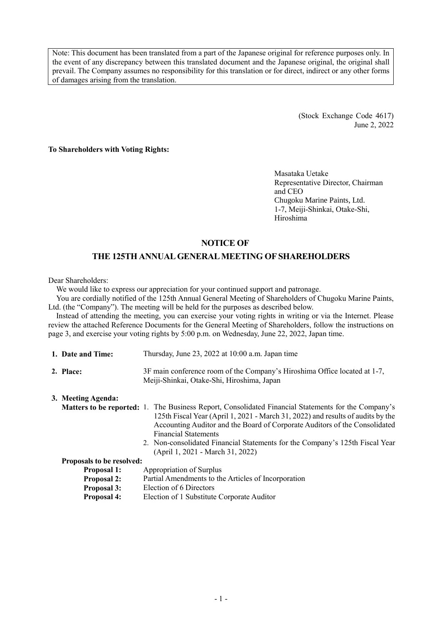Note: This document has been translated from a part of the Japanese original for reference purposes only. In the event of any discrepancy between this translated document and the Japanese original, the original shall prevail. The Company assumes no responsibility for this translation or for direct, indirect or any other forms of damages arising from the translation.

> (Stock Exchange Code 4617) June 2, 2022

**To Shareholders with Voting Rights:**

Masataka Uetake Representative Director, Chairman and CEO Chugoku Marine Paints, Ltd. 1-7, Meiji-Shinkai, Otake-Shi, Hiroshima

### **NOTICE OF**

## **THE 125THANNUAL GENERAL MEETING OF SHAREHOLDERS**

Dear Shareholders:

We would like to express our appreciation for your continued support and patronage.

You are cordially notified of the 125th Annual General Meeting of Shareholders of Chugoku Marine Paints, Ltd. (the "Company"). The meeting will be held for the purposes as described below.

Instead of attending the meeting, you can exercise your voting rights in writing or via the Internet. Please review the attached Reference Documents for the General Meeting of Shareholders, follow the instructions on page 3, and exercise your voting rights by 5:00 p.m. on Wednesday, June 22, 2022, Japan time.

| 1. Date and Time:                | Thursday, June 23, 2022 at 10:00 a.m. Japan time                                                                                                                                                                                                                                                                                                                                                                               |
|----------------------------------|--------------------------------------------------------------------------------------------------------------------------------------------------------------------------------------------------------------------------------------------------------------------------------------------------------------------------------------------------------------------------------------------------------------------------------|
| 2. Place:                        | 3F main conference room of the Company's Hiroshima Office located at 1-7,<br>Meiji-Shinkai, Otake-Shi, Hiroshima, Japan                                                                                                                                                                                                                                                                                                        |
| 3. Meeting Agenda:               |                                                                                                                                                                                                                                                                                                                                                                                                                                |
|                                  | <b>Matters to be reported:</b> 1. The Business Report, Consolidated Financial Statements for the Company's<br>125th Fiscal Year (April 1, 2021 - March 31, 2022) and results of audits by the<br>Accounting Auditor and the Board of Corporate Auditors of the Consolidated<br><b>Financial Statements</b><br>2. Non-consolidated Financial Statements for the Company's 125th Fiscal Year<br>(April 1, 2021 - March 31, 2022) |
| <b>Proposals to be resolved:</b> |                                                                                                                                                                                                                                                                                                                                                                                                                                |
| <b>Proposal 1:</b>               | Appropriation of Surplus                                                                                                                                                                                                                                                                                                                                                                                                       |
| <b>Proposal 2:</b>               | Partial Amendments to the Articles of Incorporation                                                                                                                                                                                                                                                                                                                                                                            |
| <b>Proposal 3:</b>               | Election of 6 Directors                                                                                                                                                                                                                                                                                                                                                                                                        |
| <b>Proposal 4:</b>               | Election of 1 Substitute Corporate Auditor                                                                                                                                                                                                                                                                                                                                                                                     |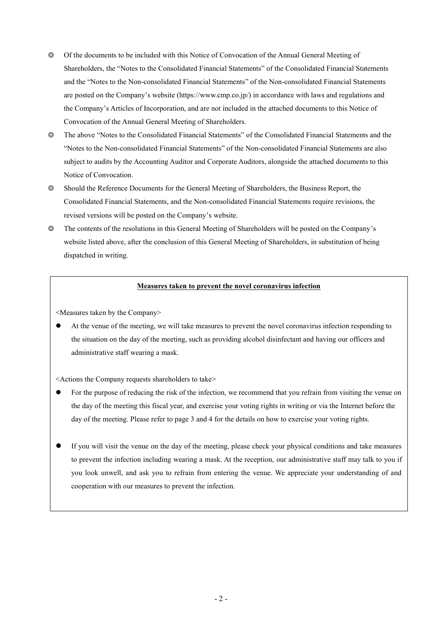- ◎ Of the documents to be included with this Notice of Convocation of the Annual General Meeting of Shareholders, the "Notes to the Consolidated Financial Statements" of the Consolidated Financial Statements and the "Notes to the Non-consolidated Financial Statements" of the Non-consolidated Financial Statements are posted on the Company's website (https://www.cmp.co.jp/) in accordance with laws and regulations and the Company's Articles of Incorporation, and are not included in the attached documents to this Notice of Convocation of the Annual General Meeting of Shareholders.
- ◎ The above "Notes to the Consolidated Financial Statements" of the Consolidated Financial Statements and the "Notes to the Non-consolidated Financial Statements" of the Non-consolidated Financial Statements are also subject to audits by the Accounting Auditor and Corporate Auditors, alongside the attached documents to this Notice of Convocation.
- ◎ Should the Reference Documents for the General Meeting of Shareholders, the Business Report, the Consolidated Financial Statements, and the Non-consolidated Financial Statements require revisions, the revised versions will be posted on the Company's website.
- ◎ The contents of the resolutions in this General Meeting of Shareholders will be posted on the Company's website listed above, after the conclusion of this General Meeting of Shareholders, in substitution of being dispatched in writing.

### **Measures taken to prevent the novel coronavirus infection**

<Measures taken by the Company>

 At the venue of the meeting, we will take measures to prevent the novel coronavirus infection responding to the situation on the day of the meeting, such as providing alcohol disinfectant and having our officers and administrative staff wearing a mask.

<Actions the Company requests shareholders to take>

- For the purpose of reducing the risk of the infection, we recommend that you refrain from visiting the venue on the day of the meeting this fiscal year, and exercise your voting rights in writing or via the Internet before the day of the meeting. Please refer to page 3 and 4 for the details on how to exercise your voting rights.
- If you will visit the venue on the day of the meeting, please check your physical conditions and take measures to prevent the infection including wearing a mask. At the reception, our administrative staff may talk to you if you look unwell, and ask you to refrain from entering the venue. We appreciate your understanding of and cooperation with our measures to prevent the infection.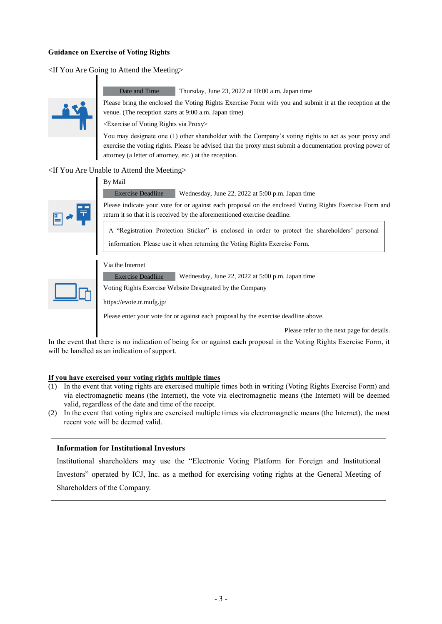### **Guidance on Exercise of Voting Rights**

<If You Are Going to Attend the Meeting>



Date and Time Thursday, June 23, 2022 at 10:00 a.m. Japan time

Please bring the enclosed the Voting Rights Exercise Form with you and submit it at the reception at the venue. (The reception starts at 9:00 a.m. Japan time)

<Exercise of Voting Rights via Proxy>

You may designate one (1) other shareholder with the Company's voting rights to act as your proxy and exercise the voting rights. Please be advised that the proxy must submit a documentation proving power of attorney (a letter of attorney, etc.) at the reception.

<If You Are Unable to Attend the Meeting> By Mail



Please indicate your vote for or against each proposal on the enclosed Voting Rights Exercise Form and return it so that it is received by the aforementioned exercise deadline.

A "Registration Protection Sticker" is enclosed in order to protect the shareholders' personal information. Please use it when returning the Voting Rights Exercise Form.

### Via the Internet

Exercise Deadline Wednesday, June 22, 2022 at 5:00 p.m. Japan time

Exercise Deadline Wednesday, June 22, 2022 at 5:00 p.m. Japan time

Voting Rights Exercise Website Designated by the Company

https://evote.tr.mufg.jp/

Please enter your vote for or against each proposal by the exercise deadline above.

Please refer to the next page for details.

In the event that there is no indication of being for or against each proposal in the Voting Rights Exercise Form, it will be handled as an indication of support.

### **If you have exercised your voting rights multiple times**

- $(1)$  In the event that voting rights are exercised multiple times both in writing (Voting Rights Exercise Form) and via electromagnetic means (the Internet), the vote via electromagnetic means (the Internet) will be deemed valid, regardless of the date and time of the receipt.
- (2) In the event that voting rights are exercised multiple times via electromagnetic means (the Internet), the most recent vote will be deemed valid.

### **Information for Institutional Investors**

Institutional shareholders may use the "Electronic Voting Platform for Foreign and Institutional Investors" operated by ICJ, Inc. as a method for exercising voting rights at the General Meeting of Shareholders of the Company.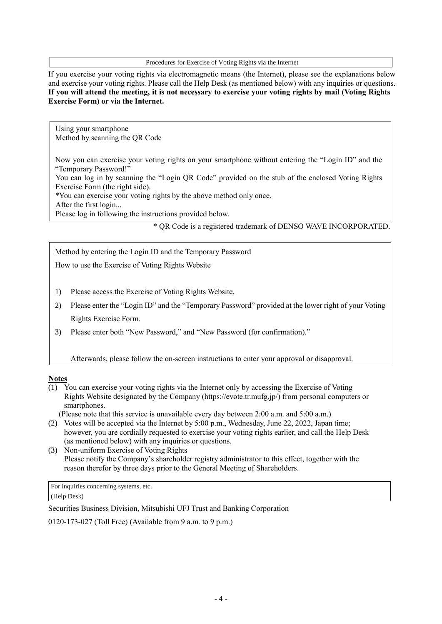Procedures for Exercise of Voting Rights via the Internet

If you exercise your voting rights via electromagnetic means (the Internet), please see the explanations below and exercise your voting rights. Please call the Help Desk (as mentioned below) with any inquiries or questions. **If you will attend the meeting, it is not necessary to exercise your voting rights by mail (Voting Rights Exercise Form) or via the Internet.**

Using your smartphone Method by scanning the QR Code

Now you can exercise your voting rights on your smartphone without entering the "Login ID" and the "Temporary Password!"

You can log in by scanning the "Login QR Code" provided on the stub of the enclosed Voting Rights Exercise Form (the right side).

\*You can exercise your voting rights by the above method only once.

After the first login...

Please log in following the instructions provided below.

\* QR Code is a registered trademark of DENSO WAVE INCORPORATED.

Method by entering the Login ID and the Temporary Password

How to use the Exercise of Voting Rights Website

- 1) Please access the Exercise of Voting Rights Website.
- 2) Please enter the "Login ID" and the "Temporary Password" provided at the lower right of your Voting Rights Exercise Form.
- 3) Please enter both "New Password," and "New Password (for confirmation)."

Afterwards, please follow the on-screen instructions to enter your approval or disapproval.

### **Notes**

(1) You can exercise your voting rights via the Internet only by accessing the Exercise of Voting Rights Website designated by the Company (https://evote.tr.mufg.jp/) from personal computers or smartphones.

(Please note that this service is unavailable every day between 2:00 a.m. and 5:00 a.m.)

- (2) Votes will be accepted via the Internet by 5:00 p.m., Wednesday, June 22, 2022, Japan time; however, you are cordially requested to exercise your voting rights earlier, and call the Help Desk (as mentioned below) with any inquiries or questions.
- (3) Non-uniform Exercise of Voting Rights Please notify the Company's shareholder registry administrator to this effect, together with the reason therefor by three days prior to the General Meeting of Shareholders.

For inquiries concerning systems, etc.

(Help Desk)

Securities Business Division, Mitsubishi UFJ Trust and Banking Corporation

0120-173-027 (Toll Free) (Available from 9 a.m. to 9 p.m.)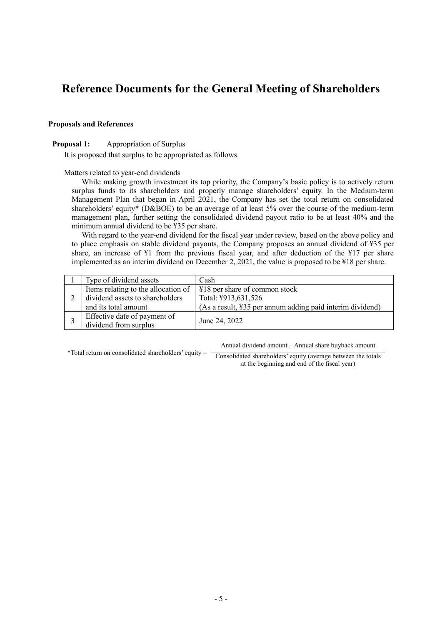# **Reference Documents for the General Meeting of Shareholders**

### **Proposals and References**

### **Proposal 1:** Appropriation of Surplus

It is proposed that surplus to be appropriated as follows.

Matters related to year-end dividends

While making growth investment its top priority, the Company's basic policy is to actively return surplus funds to its shareholders and properly manage shareholders' equity. In the Medium-term Management Plan that began in April 2021, the Company has set the total return on consolidated shareholders' equity\* (D&BOE) to be an average of at least 5% over the course of the medium-term management plan, further setting the consolidated dividend payout ratio to be at least 40% and the minimum annual dividend to be ¥35 per share.

With regard to the year-end dividend for the fiscal year under review, based on the above policy and to place emphasis on stable dividend payouts, the Company proposes an annual dividend of ¥35 per share, an increase of ¥1 from the previous fiscal year, and after deduction of the ¥17 per share implemented as an interim dividend on December 2, 2021, the value is proposed to be ¥18 per share.

|  | Type of dividend assets             | Cash                                                      |  |
|--|-------------------------------------|-----------------------------------------------------------|--|
|  | Items relating to the allocation of | ¥18 per share of common stock                             |  |
|  | dividend assets to shareholders     | Total: ¥913,631,526                                       |  |
|  | and its total amount                | (As a result, ¥35 per annum adding paid interim dividend) |  |
|  | Effective date of payment of        | June 24, 2022                                             |  |
|  | dividend from surplus               |                                                           |  |

Annual dividend amount + Annual share buyback amount

\*Total return on consolidated shareholders' equity =

Consolidated shareholders' equity (average between the totals at the beginning and end of the fiscal year)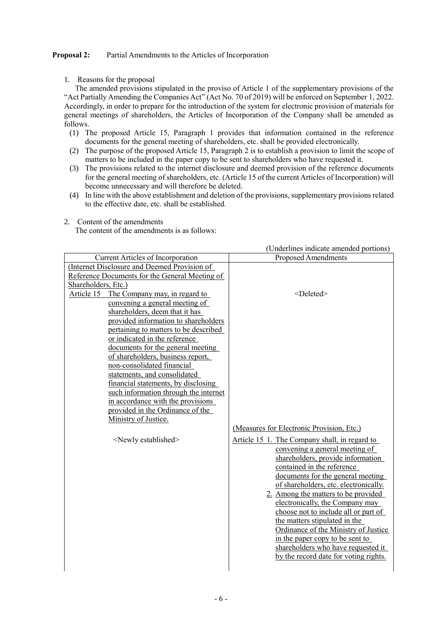### **Proposal 2:** Partial Amendments to the Articles of Incorporation

1. Reasons for the proposal

The amended provisions stipulated in the proviso of Article 1 of the supplementary provisions of the "Act Partially Amending the Companies Act" (Act No. 70 of 2019) will be enforced on September 1, 2022. Accordingly, in order to prepare for the introduction of the system for electronic provision of materials for general meetings of shareholders, the Articles of Incorporation of the Company shall be amended as follows.

- (1) The proposed Article 15, Paragraph 1 provides that information contained in the reference documents for the general meeting of shareholders, etc. shall be provided electronically.
- (2) The purpose of the proposed Article 15, Paragraph 2 is to establish a provision to limit the scope of matters to be included in the paper copy to be sent to shareholders who have requested it.
- (3) The provisions related to the internet disclosure and deemed provision of the reference documents for the general meeting of shareholders, etc. (Article 15 of the current Articles of Incorporation) will become unnecessary and will therefore be deleted.
- (4) In line with the above establishment and deletion of the provisions, supplementary provisions related to the effective date, etc. shall be established.
- 2. Content of the amendments

The content of the amendments is as follows:

|                                                | (Underlines indicate amended portions)        |
|------------------------------------------------|-----------------------------------------------|
| <b>Current Articles of Incorporation</b>       | <b>Proposed Amendments</b>                    |
| (Internet Disclosure and Deemed Provision of   |                                               |
| Reference Documents for the General Meeting of |                                               |
| Shareholders, Etc.)                            |                                               |
| Article 15<br>The Company may, in regard to    | <deleted></deleted>                           |
| convening a general meeting of                 |                                               |
| shareholders, deem that it has                 |                                               |
| provided information to shareholders           |                                               |
| pertaining to matters to be described          |                                               |
| or indicated in the reference                  |                                               |
| documents for the general meeting              |                                               |
| of shareholders, business report,              |                                               |
| non-consolidated financial                     |                                               |
| statements, and consolidated                   |                                               |
| financial statements, by disclosing            |                                               |
| such information through the internet          |                                               |
| in accordance with the provisions              |                                               |
| provided in the Ordinance of the               |                                               |
| Ministry of Justice.                           |                                               |
|                                                | (Measures for Electronic Provision, Etc.)     |
| <newly established=""></newly>                 | Article 15 1. The Company shall, in regard to |
|                                                | convening a general meeting of                |
|                                                | shareholders, provide information             |
|                                                | contained in the reference                    |
|                                                | documents for the general meeting             |
|                                                | of shareholders, etc. electronically.         |
|                                                | 2. Among the matters to be provided           |
|                                                | electronically, the Company may               |
|                                                | choose not to include all or part of          |
|                                                | the matters stipulated in the                 |
|                                                | Ordinance of the Ministry of Justice          |
|                                                | in the paper copy to be sent to               |
|                                                | shareholders who have requested it            |
|                                                | by the record date for voting rights.         |
|                                                |                                               |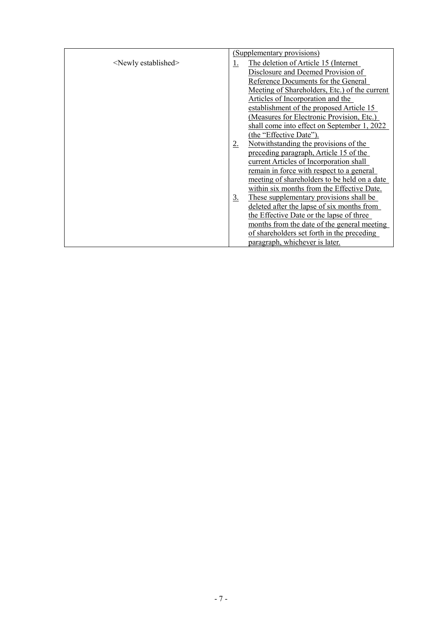|                                |             | (Supplementary provisions)                    |
|--------------------------------|-------------|-----------------------------------------------|
| <newly established=""></newly> | 1.          | The deletion of Article 15 (Internet)         |
|                                |             | Disclosure and Deemed Provision of            |
|                                |             | Reference Documents for the General           |
|                                |             | Meeting of Shareholders, Etc.) of the current |
|                                |             | Articles of Incorporation and the             |
|                                |             | establishment of the proposed Article 15      |
|                                |             | (Measures for Electronic Provision, Etc.)     |
|                                |             | shall come into effect on September 1, 2022   |
|                                |             | (the "Effective Date").                       |
|                                | $2_{\cdot}$ | Notwithstanding the provisions of the         |
|                                |             | preceding paragraph, Article 15 of the        |
|                                |             | current Articles of Incorporation shall       |
|                                |             | remain in force with respect to a general     |
|                                |             | meeting of shareholders to be held on a date  |
|                                |             | within six months from the Effective Date.    |
|                                | <u>3.</u>   | These supplementary provisions shall be       |
|                                |             | deleted after the lapse of six months from    |
|                                |             | the Effective Date or the lapse of three      |
|                                |             | months from the date of the general meeting   |
|                                |             | of shareholders set forth in the preceding    |
|                                |             | paragraph, whichever is later.                |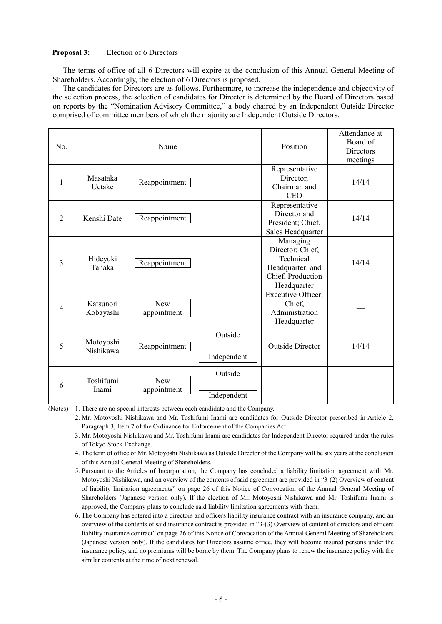### **Proposal 3:** Election of 6 Directors

The terms of office of all 6 Directors will expire at the conclusion of this Annual General Meeting of Shareholders. Accordingly, the election of 6 Directors is proposed.

The candidates for Directors are as follows. Furthermore, to increase the independence and objectivity of the selection process, the selection of candidates for Director is determined by the Board of Directors based on reports by the "Nomination Advisory Committee," a body chaired by an Independent Outside Director comprised of committee members of which the majority are Independent Outside Directors.

| No.            |                        | Name               |                        | Position                                                                                          | Attendance at<br>Board of<br>Directors<br>meetings |
|----------------|------------------------|--------------------|------------------------|---------------------------------------------------------------------------------------------------|----------------------------------------------------|
| $\mathbf{1}$   | Masataka<br>Uetake     | Reappointment      |                        | Representative<br>Director,<br>Chairman and<br><b>CEO</b>                                         | 14/14                                              |
| 2              | Kenshi Date            | Reappointment      |                        | Representative<br>Director and<br>President; Chief,<br>Sales Headquarter                          | 14/14                                              |
| 3              | Hideyuki<br>Tanaka     | Reappointment      |                        | Managing<br>Director; Chief,<br>Technical<br>Headquarter; and<br>Chief, Production<br>Headquarter | 14/14                                              |
| $\overline{4}$ | Katsunori<br>Kobayashi | New<br>appointment |                        | Executive Officer;<br>Chief,<br>Administration<br>Headquarter                                     |                                                    |
| 5              | Motoyoshi<br>Nishikawa | Reappointment      | Outside<br>Independent | <b>Outside Director</b>                                                                           | 14/14                                              |
| 6              | Toshifumi<br>Inami     | New<br>appointment | Outside<br>Independent |                                                                                                   |                                                    |

(Notes) 1. There are no special interests between each candidate and the Company.

- 2. Mr. Motoyoshi Nishikawa and Mr. Toshifumi Inami are candidates for Outside Director prescribed in Article 2, Paragraph 3, Item 7 of the Ordinance for Enforcement of the Companies Act.
- 3. Mr. Motoyoshi Nishikawa and Mr. Toshifumi Inami are candidates for Independent Director required under the rules of Tokyo Stock Exchange.
- 4. The term of office of Mr. Motoyoshi Nishikawa as Outside Director of the Company will be six years at the conclusion of this Annual General Meeting of Shareholders.
- 5. Pursuant to the Articles of Incorporation, the Company has concluded a liability limitation agreement with Mr. Motoyoshi Nishikawa, and an overview of the contents of said agreement are provided in "3-(2) Overview of content of liability limitation agreements" on page 26 of this Notice of Convocation of the Annual General Meeting of Shareholders (Japanese version only). If the election of Mr. Motoyoshi Nishikawa and Mr. Toshifumi Inami is approved, the Company plans to conclude said liability limitation agreements with them.
- 6. The Company has entered into a directors and officers liability insurance contract with an insurance company, and an overview of the contents of said insurance contract is provided in "3-(3) Overview of content of directors and officers liability insurance contract" on page 26 of this Notice of Convocation of the Annual General Meeting of Shareholders (Japanese version only). If the candidates for Directors assume office, they will become insured persons under the insurance policy, and no premiums will be borne by them. The Company plans to renew the insurance policy with the similar contents at the time of next renewal.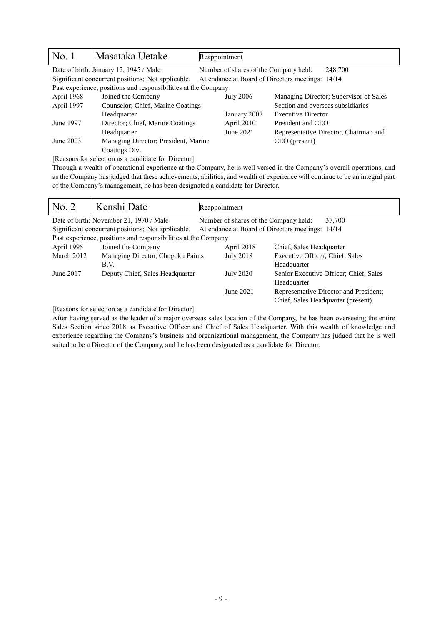| No. 1                                           | Masataka Uetake                                                | Reappointment                         |                                                  |  |
|-------------------------------------------------|----------------------------------------------------------------|---------------------------------------|--------------------------------------------------|--|
| Date of birth: January 12, 1945 / Male          |                                                                | Number of shares of the Company held: | 248,700                                          |  |
|                                                 | Significant concurrent positions: Not applicable.              |                                       | Attendance at Board of Directors meetings: 14/14 |  |
|                                                 | Past experience, positions and responsibilities at the Company |                                       |                                                  |  |
| April 1968<br>Joined the Company                |                                                                | <b>July 2006</b>                      | Managing Director; Supervisor of Sales           |  |
| April 1997<br>Counselor; Chief, Marine Coatings |                                                                |                                       | Section and overseas subsidiaries                |  |
|                                                 | Headquarter                                                    | January 2007                          | <b>Executive Director</b>                        |  |
| June 1997                                       | Director; Chief, Marine Coatings                               | April 2010                            | President and CEO                                |  |
|                                                 | Headquarter                                                    | June 2021                             | Representative Director, Chairman and            |  |
| June 2003                                       | Managing Director; President, Marine                           |                                       | CEO (present)                                    |  |
|                                                 | Coatings Div.                                                  |                                       |                                                  |  |

[Reasons for selection as a candidate for Director]

Through a wealth of operational experience at the Company, he is well versed in the Company's overall operations, and as the Company has judged that these achievements, abilities, and wealth of experience will continue to be an integral part of the Company's management, he has been designated a candidate for Director.

| No. 2      | Kenshi Date                                                    | Reappointment                                    |                                        |
|------------|----------------------------------------------------------------|--------------------------------------------------|----------------------------------------|
|            | Date of birth: November 21, 1970 / Male                        | Number of shares of the Company held:            | 37,700                                 |
|            | Significant concurrent positions: Not applicable.              | Attendance at Board of Directors meetings: 14/14 |                                        |
|            | Past experience, positions and responsibilities at the Company |                                                  |                                        |
| April 1995 | Joined the Company                                             | April 2018                                       | Chief, Sales Headquarter               |
| March 2012 | Managing Director, Chugoku Paints                              | July 2018                                        | Executive Officer; Chief, Sales        |
|            | B.V.                                                           |                                                  | Headquarter                            |
| June 2017  | Deputy Chief, Sales Headquarter                                | <b>July 2020</b>                                 | Senior Executive Officer; Chief, Sales |
|            |                                                                |                                                  | Headquarter                            |
|            |                                                                | June 2021                                        | Representative Director and President; |
|            |                                                                |                                                  | Chief, Sales Headquarter (present)     |

[Reasons for selection as a candidate for Director]

After having served as the leader of a major overseas sales location of the Company, he has been overseeing the entire Sales Section since 2018 as Executive Officer and Chief of Sales Headquarter. With this wealth of knowledge and experience regarding the Company's business and organizational management, the Company has judged that he is well suited to be a Director of the Company, and he has been designated as a candidate for Director.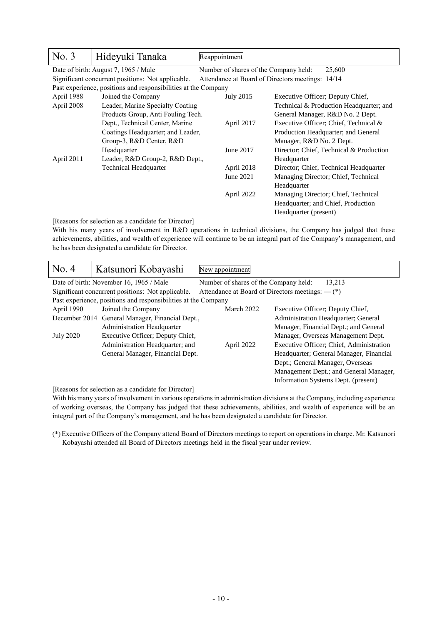| No. 3                                         | Hideyuki Tanaka                                                | Reappointment                                       |                                         |  |
|-----------------------------------------------|----------------------------------------------------------------|-----------------------------------------------------|-----------------------------------------|--|
|                                               | Date of birth: August 7, 1965 / Male                           | Number of shares of the Company held:               | 25,600                                  |  |
|                                               | Significant concurrent positions: Not applicable.              | Attendance at Board of Directors meetings: 14/14    |                                         |  |
|                                               | Past experience, positions and responsibilities at the Company |                                                     |                                         |  |
| April 1988                                    | Joined the Company                                             | July 2015                                           | Executive Officer; Deputy Chief,        |  |
| April 2008                                    | Leader, Marine Specialty Coating                               |                                                     | Technical & Production Headquarter; and |  |
|                                               | Products Group, Anti Fouling Tech.                             |                                                     | General Manager, R&D No. 2 Dept.        |  |
|                                               | Dept., Technical Center, Marine                                | Executive Officer; Chief, Technical &<br>April 2017 |                                         |  |
|                                               | Coatings Headquarter; and Leader,                              |                                                     | Production Headquarter; and General     |  |
| Group-3, R&D Center, R&D                      |                                                                | Manager, R&D No. 2 Dept.                            |                                         |  |
| Headquarter                                   |                                                                | June 2017                                           | Director; Chief, Technical & Production |  |
| April 2011<br>Leader, R&D Group-2, R&D Dept., |                                                                |                                                     | Headquarter                             |  |
| <b>Technical Headquarter</b>                  |                                                                | April 2018                                          | Director; Chief, Technical Headquarter  |  |
|                                               |                                                                | June 2021                                           | Managing Director; Chief, Technical     |  |
|                                               |                                                                |                                                     | Headquarter                             |  |
|                                               |                                                                | April 2022                                          | Managing Director; Chief, Technical     |  |
|                                               |                                                                |                                                     | Headquarter; and Chief, Production      |  |
|                                               |                                                                |                                                     | Headquarter (present)                   |  |

[Reasons for selection as a candidate for Director]

With his many years of involvement in R&D operations in technical divisions, the Company has judged that these achievements, abilities, and wealth of experience will continue to be an integral part of the Company's management, and he has been designated a candidate for Director.

| No. 4                                           | Katsunori Kobayashi                                            | New appointment                                        |                                                    |
|-------------------------------------------------|----------------------------------------------------------------|--------------------------------------------------------|----------------------------------------------------|
|                                                 | Date of birth: November 16, 1965 / Male                        | Number of shares of the Company held:                  | 13,213                                             |
|                                                 | Significant concurrent positions: Not applicable.              |                                                        | Attendance at Board of Directors meetings: $-$ (*) |
|                                                 | Past experience, positions and responsibilities at the Company |                                                        |                                                    |
| April 1990                                      | Joined the Company                                             | March 2022                                             | Executive Officer; Deputy Chief,                   |
| December 2014 General Manager, Financial Dept., |                                                                |                                                        | Administration Headquarter; General                |
|                                                 | Administration Headquarter                                     |                                                        | Manager, Financial Dept.; and General              |
| <b>July 2020</b>                                | Executive Officer; Deputy Chief,                               |                                                        | Manager, Overseas Management Dept.                 |
|                                                 | Administration Headquarter; and                                | Executive Officer; Chief, Administration<br>April 2022 |                                                    |
|                                                 | General Manager, Financial Dept.                               | Headquarter; General Manager, Financial                |                                                    |
|                                                 |                                                                |                                                        | Dept.; General Manager, Overseas                   |
|                                                 |                                                                |                                                        | Management Dept.; and General Manager,             |
|                                                 |                                                                |                                                        | Information Systems Dept. (present)                |

[Reasons for selection as a candidate for Director]

With his many years of involvement in various operations in administration divisions at the Company, including experience of working overseas, the Company has judged that these achievements, abilities, and wealth of experience will be an integral part of the Company's management, and he has been designated a candidate for Director.

(\*) Executive Officers of the Company attend Board of Directors meetings to report on operations in charge. Mr. Katsunori Kobayashi attended all Board of Directors meetings held in the fiscal year under review.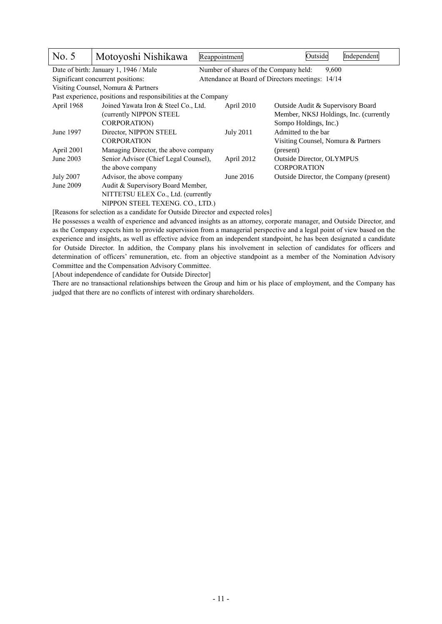| No. 5            | Motoyoshi Nishikawa                                            | Reappointment                         | Outside                                          | Independent |
|------------------|----------------------------------------------------------------|---------------------------------------|--------------------------------------------------|-------------|
|                  | Date of birth: January 1, 1946 / Male                          | Number of shares of the Company held: | 9.600                                            |             |
|                  | Significant concurrent positions:                              |                                       | Attendance at Board of Directors meetings: 14/14 |             |
|                  | Visiting Counsel, Nomura & Partners                            |                                       |                                                  |             |
|                  | Past experience, positions and responsibilities at the Company |                                       |                                                  |             |
| April 1968       | Joined Yawata Iron & Steel Co., Ltd.                           | April 2010                            | Outside Audit & Supervisory Board                |             |
|                  | (currently NIPPON STEEL                                        |                                       | Member, NKSJ Holdings, Inc. (currently           |             |
|                  | <b>CORPORATION</b> )                                           |                                       | Sompo Holdings, Inc.)                            |             |
| June 1997        | Director, NIPPON STEEL                                         | <b>July 2011</b>                      | Admitted to the bar                              |             |
|                  | <b>CORPORATION</b>                                             |                                       | Visiting Counsel, Nomura & Partners              |             |
| April 2001       | Managing Director, the above company                           |                                       | (present)                                        |             |
| June 2003        | Senior Advisor (Chief Legal Counsel),                          | April 2012                            | <b>Outside Director, OLYMPUS</b>                 |             |
|                  | the above company                                              |                                       | <b>CORPORATION</b>                               |             |
| <b>July 2007</b> | Advisor, the above company                                     | June 2016                             | Outside Director, the Company (present)          |             |
| June 2009        | Audit & Supervisory Board Member,                              |                                       |                                                  |             |
|                  | NITTETSU ELEX Co., Ltd. (currently                             |                                       |                                                  |             |
|                  | NIPPON STEEL TEXENG. CO., LTD.)                                |                                       |                                                  |             |

[Reasons for selection as a candidate for Outside Director and expected roles]

He possesses a wealth of experience and advanced insights as an attorney, corporate manager, and Outside Director, and as the Company expects him to provide supervision from a managerial perspective and a legal point of view based on the experience and insights, as well as effective advice from an independent standpoint, he has been designated a candidate for Outside Director. In addition, the Company plans his involvement in selection of candidates for officers and determination of officers' remuneration, etc. from an objective standpoint as a member of the Nomination Advisory Committee and the Compensation Advisory Committee.

[About independence of candidate for Outside Director]

There are no transactional relationships between the Group and him or his place of employment, and the Company has judged that there are no conflicts of interest with ordinary shareholders.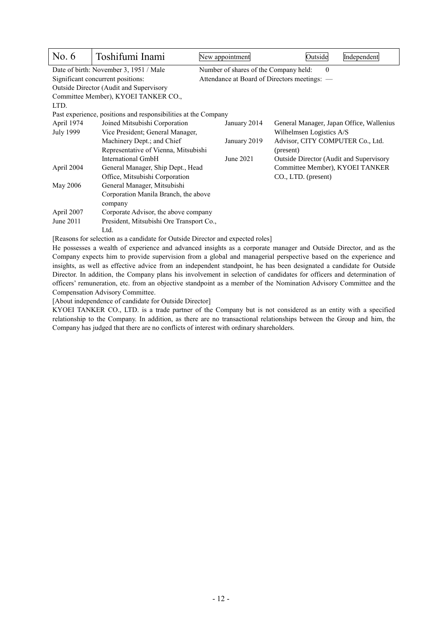| No. $6$          | Toshifumi Inami                                                              | New appointment                              | Outside<br>Independent                         |  |  |  |  |
|------------------|------------------------------------------------------------------------------|----------------------------------------------|------------------------------------------------|--|--|--|--|
|                  | Date of birth: November 3, 1951 / Male                                       | Number of shares of the Company held:        | $\theta$                                       |  |  |  |  |
|                  | Significant concurrent positions:                                            | Attendance at Board of Directors meetings: - |                                                |  |  |  |  |
|                  | Outside Director (Audit and Supervisory                                      |                                              |                                                |  |  |  |  |
|                  | Committee Member), KYOEI TANKER CO.,                                         |                                              |                                                |  |  |  |  |
| LTD.             |                                                                              |                                              |                                                |  |  |  |  |
|                  | Past experience, positions and responsibilities at the Company               |                                              |                                                |  |  |  |  |
| April 1974       | Joined Mitsubishi Corporation                                                | January 2014                                 | General Manager, Japan Office, Wallenius       |  |  |  |  |
| <b>July 1999</b> | Vice President; General Manager,                                             |                                              | Wilhelmsen Logistics A/S                       |  |  |  |  |
|                  | Machinery Dept.; and Chief                                                   | January 2019                                 | Advisor, CITY COMPUTER Co., Ltd.               |  |  |  |  |
|                  | Representative of Vienna, Mitsubishi                                         | (present)                                    |                                                |  |  |  |  |
|                  | International GmbH                                                           | June 2021                                    | <b>Outside Director (Audit and Supervisory</b> |  |  |  |  |
| April 2004       | General Manager, Ship Dept., Head                                            |                                              | Committee Member), KYOEI TANKER                |  |  |  |  |
|                  | Office, Mitsubishi Corporation                                               |                                              | CO., LTD. (present)                            |  |  |  |  |
| May 2006         | General Manager, Mitsubishi                                                  |                                              |                                                |  |  |  |  |
|                  | Corporation Manila Branch, the above                                         |                                              |                                                |  |  |  |  |
|                  | company                                                                      |                                              |                                                |  |  |  |  |
| April 2007       | Corporate Advisor, the above company                                         |                                              |                                                |  |  |  |  |
| June 2011        | President, Mitsubishi Ore Transport Co.,                                     |                                              |                                                |  |  |  |  |
|                  | Ltd.                                                                         |                                              |                                                |  |  |  |  |
|                  | Dessons for selection as a candidate for Outside Director and expected roles |                                              |                                                |  |  |  |  |

[Reasons for selection as a candidate for Outside Director and expected roles]

He possesses a wealth of experience and advanced insights as a corporate manager and Outside Director, and as the Company expects him to provide supervision from a global and managerial perspective based on the experience and insights, as well as effective advice from an independent standpoint, he has been designated a candidate for Outside Director. In addition, the Company plans his involvement in selection of candidates for officers and determination of officers' remuneration, etc. from an objective standpoint as a member of the Nomination Advisory Committee and the Compensation Advisory Committee.

[About independence of candidate for Outside Director]

KYOEI TANKER CO., LTD. is a trade partner of the Company but is not considered as an entity with a specified relationship to the Company. In addition, as there are no transactional relationships between the Group and him, the Company has judged that there are no conflicts of interest with ordinary shareholders.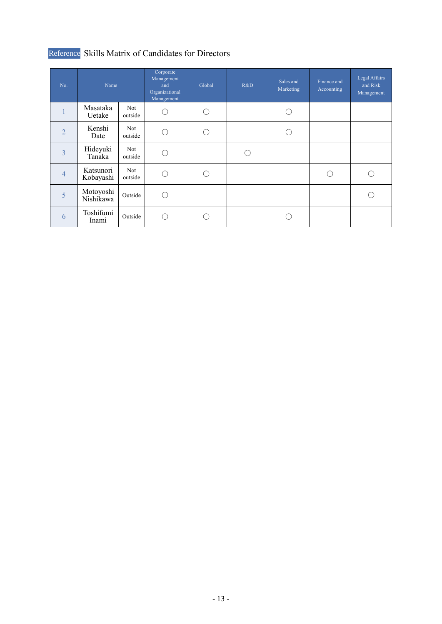# Reference Skills Matrix of Candidates for Directors

| No.            | Name                   |                | Corporate<br>Management<br>and<br>Organizational<br>Management | Global | R&D | Sales and<br>Marketing | Finance and<br>Accounting | Legal Affairs<br>and Risk<br>Management |
|----------------|------------------------|----------------|----------------------------------------------------------------|--------|-----|------------------------|---------------------------|-----------------------------------------|
|                | Masataka<br>Uetake     | Not<br>outside |                                                                |        |     |                        |                           |                                         |
| $\overline{2}$ | Kenshi<br>Date         | Not<br>outside |                                                                |        |     |                        |                           |                                         |
| 3              | Hideyuki<br>Tanaka     | Not<br>outside |                                                                |        |     |                        |                           |                                         |
| $\overline{4}$ | Katsunori<br>Kobayashi | Not<br>outside |                                                                |        |     |                        |                           |                                         |
| 5              | Motoyoshi<br>Nishikawa | Outside        |                                                                |        |     |                        |                           |                                         |
| 6              | Toshifumi<br>Inami     | Outside        |                                                                |        |     |                        |                           |                                         |